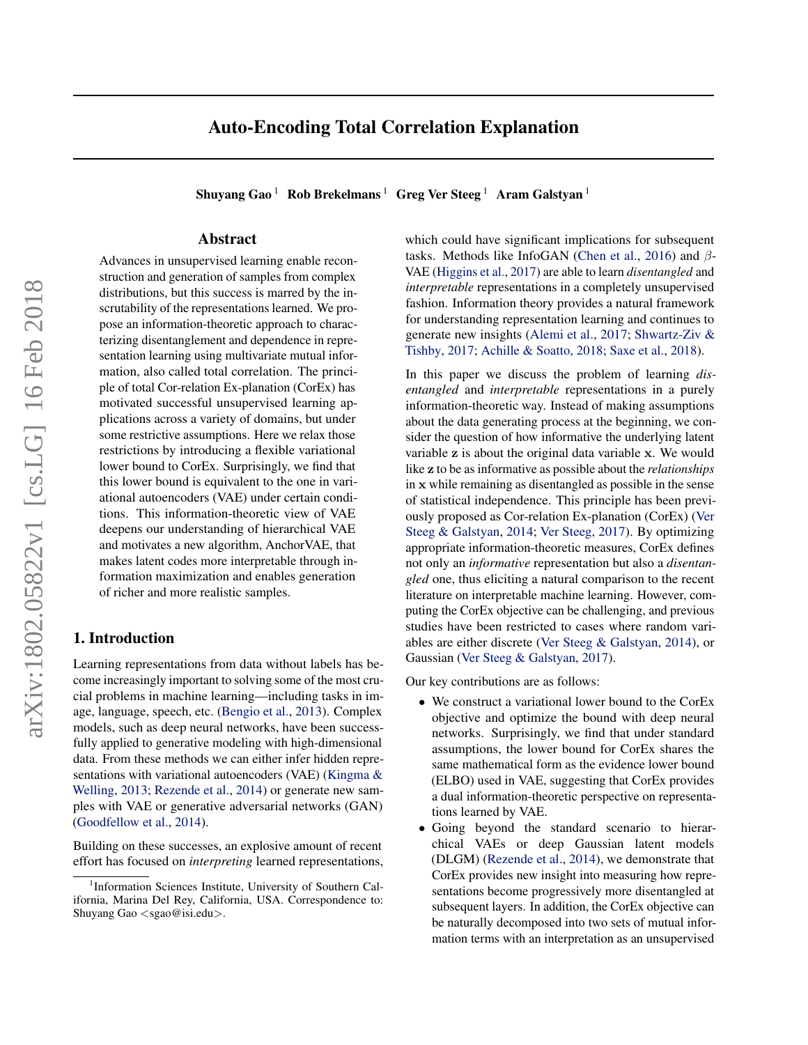# Auto-Encoding Total Correlation Explanation

Shuyang Gao<sup>1</sup> Rob Brekelmans<sup>1</sup> Greg Ver Steeg<sup>1</sup> Aram Galstyan<sup>1</sup>

# Abstract

Advances in unsupervised learning enable reconstruction and generation of samples from complex distributions, but this success is marred by the inscrutability of the representations learned. We propose an information-theoretic approach to characterizing disentanglement and dependence in representation learning using multivariate mutual information, also called total correlation. The principle of total Cor-relation Ex-planation (CorEx) has motivated successful unsupervised learning applications across a variety of domains, but under some restrictive assumptions. Here we relax those restrictions by introducing a flexible variational lower bound to CorEx. Surprisingly, we find that this lower bound is equivalent to the one in variational autoencoders (VAE) under certain conditions. This information-theoretic view of VAE deepens our understanding of hierarchical VAE and motivates a new algorithm, AnchorVAE, that makes latent codes more interpretable through information maximization and enables generation of richer and more realistic samples.

# 1. Introduction

Learning representations from data without labels has become increasingly important to solving some of the most crucial problems in machine learning—including tasks in image, language, speech, etc. [\(Bengio et al.,](#page-8-0) [2013\)](#page-8-0). Complex models, such as deep neural networks, have been successfully applied to generative modeling with high-dimensional data. From these methods we can either infer hidden representations with variational autoencoders (VAE) [\(Kingma &](#page-8-0) [Welling,](#page-8-0) [2013;](#page-8-0) [Rezende et al.,](#page-8-0) [2014\)](#page-8-0) or generate new samples with VAE or generative adversarial networks (GAN) [\(Goodfellow et al.,](#page-8-0) [2014\)](#page-8-0).

Building on these successes, an explosive amount of recent effort has focused on *interpreting* learned representations, which could have significant implications for subsequent tasks. Methods like InfoGAN [\(Chen et al.,](#page-8-0) [2016\)](#page-8-0) and  $\beta$ -VAE [\(Higgins et al.,](#page-8-0) [2017\)](#page-8-0) are able to learn *disentangled* and *interpretable* representations in a completely unsupervised fashion. Information theory provides a natural framework for understanding representation learning and continues to generate new insights [\(Alemi et al.,](#page-8-0) [2017;](#page-8-0) [Shwartz-Ziv &](#page-8-0) [Tishby,](#page-8-0) [2017;](#page-8-0) [Achille & Soatto,](#page-8-0) [2018;](#page-8-0) [Saxe et al.,](#page-8-0) [2018\)](#page-8-0).

In this paper we discuss the problem of learning *disentangled* and *interpretable* representations in a purely information-theoretic way. Instead of making assumptions about the data generating process at the beginning, we consider the question of how informative the underlying latent variable z is about the original data variable x. We would like z to be as informative as possible about the *relationships* in x while remaining as disentangled as possible in the sense of statistical independence. This principle has been previously proposed as Cor-relation Ex-planation (CorEx) [\(Ver](#page-9-0) [Steeg & Galstyan,](#page-9-0) [2014;](#page-9-0) [Ver Steeg,](#page-9-0) [2017\)](#page-9-0). By optimizing appropriate information-theoretic measures, CorEx defines not only an *informative* representation but also a *disentangled* one, thus eliciting a natural comparison to the recent literature on interpretable machine learning. However, computing the CorEx objective can be challenging, and previous studies have been restricted to cases where random variables are either discrete [\(Ver Steeg & Galstyan,](#page-9-0) [2014\)](#page-9-0), or Gaussian [\(Ver Steeg & Galstyan,](#page-9-0) [2017\)](#page-9-0).

Our key contributions are as follows:

- We construct a variational lower bound to the CorEx objective and optimize the bound with deep neural networks. Surprisingly, we find that under standard assumptions, the lower bound for CorEx shares the same mathematical form as the evidence lower bound (ELBO) used in VAE, suggesting that CorEx provides a dual information-theoretic perspective on representations learned by VAE.
- Going beyond the standard scenario to hierarchical VAEs or deep Gaussian latent models (DLGM) [\(Rezende et al.,](#page-8-0) [2014\)](#page-8-0), we demonstrate that CorEx provides new insight into measuring how representations become progressively more disentangled at subsequent layers. In addition, the CorEx objective can be naturally decomposed into two sets of mutual information terms with an interpretation as an unsupervised

<sup>&</sup>lt;sup>1</sup>Information Sciences Institute, University of Southern California, Marina Del Rey, California, USA. Correspondence to: Shuyang Gao <sgao@isi.edu>.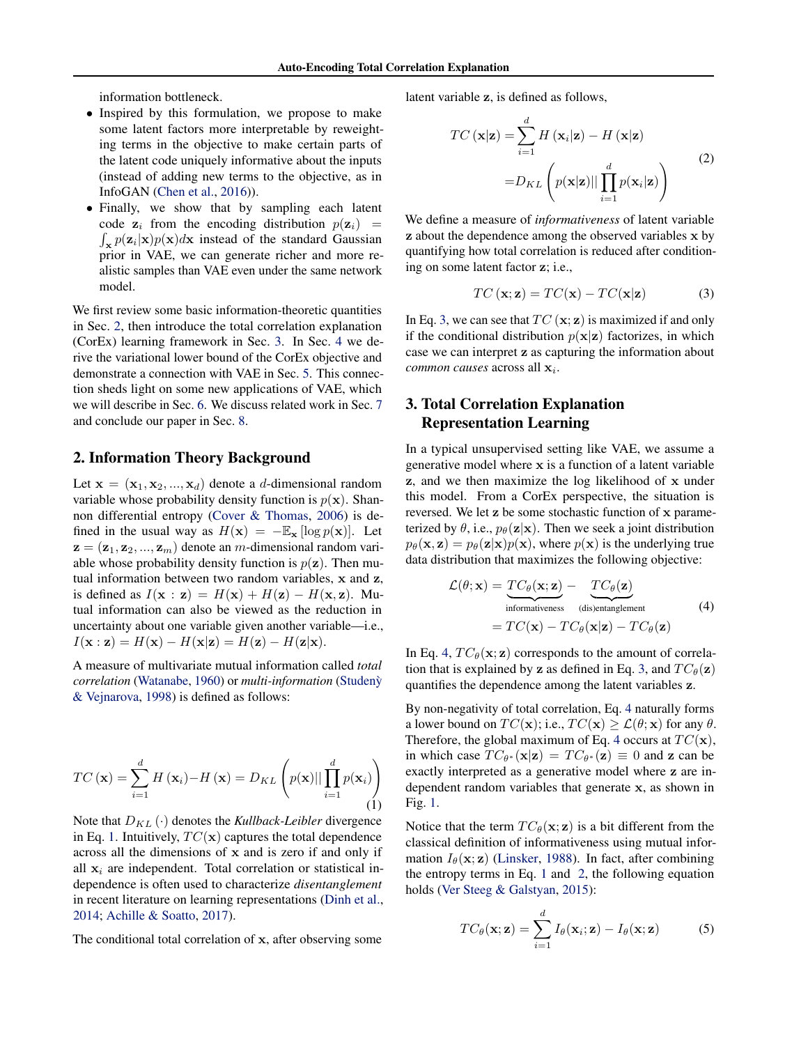<span id="page-1-0"></span>information bottleneck.

- Inspired by this formulation, we propose to make some latent factors more interpretable by reweighting terms in the objective to make certain parts of the latent code uniquely informative about the inputs (instead of adding new terms to the objective, as in InfoGAN [\(Chen et al.,](#page-8-0) [2016\)](#page-8-0)).
- Finally, we show that by sampling each latent code  $z_i$  from the encoding distribution  $p(z_i)$  =  $\int_{\mathbf{x}} p(\mathbf{z}_i|\mathbf{x}) p(\mathbf{x}) d\mathbf{x}$  instead of the standard Gaussian prior in VAE, we can generate richer and more realistic samples than VAE even under the same network model.

We first review some basic information-theoretic quantities in Sec. 2, then introduce the total correlation explanation (CorEx) learning framework in Sec. 3. In Sec. [4](#page-2-0) we derive the variational lower bound of the CorEx objective and demonstrate a connection with VAE in Sec. [5.](#page-3-0) This connection sheds light on some new applications of VAE, which we will describe in Sec. [6.](#page-4-0) We discuss related work in Sec. [7](#page-6-0) and conclude our paper in Sec. [8.](#page-7-0)

#### 2. Information Theory Background

Let  $\mathbf{x} = (\mathbf{x}_1, \mathbf{x}_2, ..., \mathbf{x}_d)$  denote a *d*-dimensional random variable whose probability density function is  $p(x)$ . Shannon differential entropy [\(Cover & Thomas,](#page-8-0) [2006\)](#page-8-0) is defined in the usual way as  $H(\mathbf{x}) = -\mathbb{E}_{\mathbf{x}} [\log p(\mathbf{x})]$ . Let  $z = (z_1, z_2, ..., z_m)$  denote an m-dimensional random variable whose probability density function is  $p(\mathbf{z})$ . Then mutual information between two random variables, x and z, is defined as  $I(\mathbf{x} : \mathbf{z}) = H(\mathbf{x}) + H(\mathbf{z}) - H(\mathbf{x}, \mathbf{z})$ . Mutual information can also be viewed as the reduction in uncertainty about one variable given another variable—i.e.,  $I(\mathbf{x} : \mathbf{z}) = H(\mathbf{x}) - H(\mathbf{x}|\mathbf{z}) = H(\mathbf{z}) - H(\mathbf{z}|\mathbf{x}).$ 

A measure of multivariate mutual information called *total correlation* [\(Watanabe,](#page-9-0) [1960\)](#page-9-0) or *multi-information* [\(Studeny`](#page-8-0) [& Vejnarova,](#page-8-0) [1998\)](#page-8-0) is defined as follows:

$$
TC(\mathbf{x}) = \sum_{i=1}^{d} H(\mathbf{x}_i) - H(\mathbf{x}) = D_{KL}\left(p(\mathbf{x})||\prod_{i=1}^{d} p(\mathbf{x}_i)\right)
$$
(1)

Note that  $D_{KL}(\cdot)$  denotes the *Kullback-Leibler* divergence in Eq. 1. Intuitively,  $TC(x)$  captures the total dependence across all the dimensions of x and is zero if and only if all  $x_i$  are independent. Total correlation or statistical independence is often used to characterize *disentanglement* in recent literature on learning representations [\(Dinh et al.,](#page-8-0) [2014;](#page-8-0) [Achille & Soatto,](#page-8-0) [2017\)](#page-8-0).

The conditional total correlation of x, after observing some

latent variable z, is defined as follows,

$$
TC(\mathbf{x}|\mathbf{z}) = \sum_{i=1}^{d} H(\mathbf{x}_i|\mathbf{z}) - H(\mathbf{x}|\mathbf{z})
$$

$$
= D_{KL}\left(p(\mathbf{x}|\mathbf{z})||\prod_{i=1}^{d} p(\mathbf{x}_i|\mathbf{z})\right)
$$
(2)

We define a measure of *informativeness* of latent variable z about the dependence among the observed variables x by quantifying how total correlation is reduced after conditioning on some latent factor z; i.e.,

$$
TC(\mathbf{x}; \mathbf{z}) = TC(\mathbf{x}) - TC(\mathbf{x}|\mathbf{z})
$$
 (3)

In Eq. 3, we can see that  $TC(\mathbf{x}; \mathbf{z})$  is maximized if and only if the conditional distribution  $p(x|z)$  factorizes, in which case we can interpret z as capturing the information about *common causes* across all  $\mathbf{x}_i$ .

# 3. Total Correlation Explanation Representation Learning

In a typical unsupervised setting like VAE, we assume a generative model where x is a function of a latent variable z, and we then maximize the log likelihood of x under this model. From a CorEx perspective, the situation is reversed. We let z be some stochastic function of x parameterized by  $\theta$ , i.e.,  $p_{\theta}(\mathbf{z}|\mathbf{x})$ . Then we seek a joint distribution  $p_{\theta}(\mathbf{x}, \mathbf{z}) = p_{\theta}(\mathbf{z}|\mathbf{x})p(\mathbf{x})$ , where  $p(\mathbf{x})$  is the underlying true data distribution that maximizes the following objective:

$$
\mathcal{L}(\theta; \mathbf{x}) = \underbrace{TC_{\theta}(\mathbf{x}; \mathbf{z})}_{\text{informativeness}} - \underbrace{TC_{\theta}(\mathbf{z})}_{\text{(dis)entanglement}}
$$
\n
$$
= TC(\mathbf{x}) - TC_{\theta}(\mathbf{x}|\mathbf{z}) - TC_{\theta}(\mathbf{z})
$$
\n(4)

In Eq. 4,  $TC_{\theta}(\mathbf{x}; \mathbf{z})$  corresponds to the amount of correlation that is explained by z as defined in Eq. 3, and  $TC_{\theta}(\mathbf{z})$ quantifies the dependence among the latent variables z.

By non-negativity of total correlation, Eq. 4 naturally forms a lower bound on  $TC(\mathbf{x})$ ; i.e.,  $TC(\mathbf{x}) \geq \mathcal{L}(\theta; \mathbf{x})$  for any  $\theta$ . Therefore, the global maximum of Eq. 4 occurs at  $TC(\mathbf{x})$ , in which case  $TC_{\theta^*}(\mathbf{x}|\mathbf{z}) = TC_{\theta^*}(\mathbf{z}) \equiv 0$  and z can be exactly interpreted as a generative model where z are independent random variables that generate x, as shown in Fig. [1.](#page-2-0)

Notice that the term  $TC_{\theta}(\mathbf{x}; \mathbf{z})$  is a bit different from the classical definition of informativeness using mutual information  $I_\theta(\mathbf{x}; \mathbf{z})$  [\(Linsker,](#page-8-0) [1988\)](#page-8-0). In fact, after combining the entropy terms in Eq. 1 and 2, the following equation holds [\(Ver Steeg & Galstyan,](#page-9-0) [2015\)](#page-9-0):

$$
TC_{\theta}(\mathbf{x}; \mathbf{z}) = \sum_{i=1}^{d} I_{\theta}(\mathbf{x}_i; \mathbf{z}) - I_{\theta}(\mathbf{x}; \mathbf{z})
$$
 (5)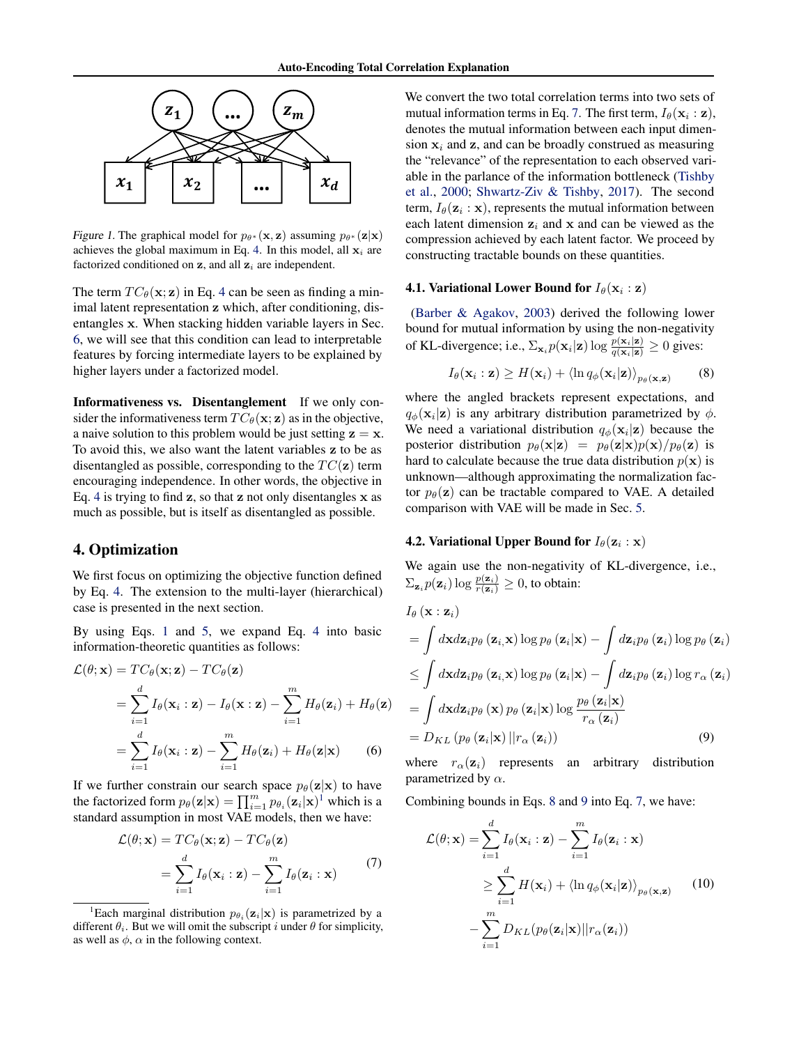<span id="page-2-0"></span>

Figure 1. The graphical model for  $p_{\theta^*}(\mathbf{x}, \mathbf{z})$  assuming  $p_{\theta^*}(\mathbf{z}|\mathbf{x})$ achieves the global maximum in Eq. [4.](#page-1-0) In this model, all  $x_i$  are factorized conditioned on  $z$ , and all  $z<sub>i</sub>$  are independent.

The term  $TC_{\theta}(\mathbf{x}; \mathbf{z})$  in Eq. [4](#page-1-0) can be seen as finding a minimal latent representation z which, after conditioning, disentangles x. When stacking hidden variable layers in Sec. [6,](#page-4-0) we will see that this condition can lead to interpretable features by forcing intermediate layers to be explained by higher layers under a factorized model.

Informativeness vs. Disentanglement If we only consider the informativeness term  $TC_{\theta}(\mathbf{x}; \mathbf{z})$  as in the objective, a naive solution to this problem would be just setting  $z = x$ . To avoid this, we also want the latent variables z to be as disentangled as possible, corresponding to the  $TC(\mathbf{z})$  term encouraging independence. In other words, the objective in Eq. [4](#page-1-0) is trying to find  $z$ , so that  $z$  not only disentangles  $x$  as much as possible, but is itself as disentangled as possible.

#### 4. Optimization

We first focus on optimizing the objective function defined by Eq. [4.](#page-1-0) The extension to the multi-layer (hierarchical) case is presented in the next section.

By using Eqs. [1](#page-1-0) and [5,](#page-1-0) we expand Eq. [4](#page-1-0) into basic information-theoretic quantities as follows:

$$
\mathcal{L}(\theta; \mathbf{x}) = TC_{\theta}(\mathbf{x}; \mathbf{z}) - TC_{\theta}(\mathbf{z})
$$
  
= 
$$
\sum_{i=1}^{d} I_{\theta}(\mathbf{x}_i : \mathbf{z}) - I_{\theta}(\mathbf{x} : \mathbf{z}) - \sum_{i=1}^{m} H_{\theta}(\mathbf{z}_i) + H_{\theta}(\mathbf{z})
$$
  
= 
$$
\sum_{i=1}^{d} I_{\theta}(\mathbf{x}_i : \mathbf{z}) - \sum_{i=1}^{m} H_{\theta}(\mathbf{z}_i) + H_{\theta}(\mathbf{z} | \mathbf{x})
$$
(6)

If we further constrain our search space  $p_{\theta}(\mathbf{z}|\mathbf{x})$  to have the factorized form  $p_{\theta}(\mathbf{z}|\mathbf{x}) = \prod_{i=1}^{m} p_{\theta_i}(\mathbf{z}_i|\mathbf{x})^{\dagger}$  which is a standard assumption in most VAE models, then we have:

$$
\mathcal{L}(\theta; \mathbf{x}) = TC_{\theta}(\mathbf{x}; \mathbf{z}) - TC_{\theta}(\mathbf{z})
$$

$$
= \sum_{i=1}^{d} I_{\theta}(\mathbf{x}_i : \mathbf{z}) - \sum_{i=1}^{m} I_{\theta}(\mathbf{z}_i : \mathbf{x})
$$
(7)

We convert the two total correlation terms into two sets of mutual information terms in Eq. 7. The first term,  $I_{\theta}(\mathbf{x}_i : \mathbf{z}),$ denotes the mutual information between each input dimension  $x_i$  and  $z$ , and can be broadly construed as measuring the "relevance" of the representation to each observed variable in the parlance of the information bottleneck [\(Tishby](#page-9-0) [et al.,](#page-9-0) [2000;](#page-9-0) [Shwartz-Ziv & Tishby,](#page-8-0) [2017\)](#page-8-0). The second term,  $I_{\theta}(\mathbf{z}_i : \mathbf{x})$ , represents the mutual information between each latent dimension  $z_i$  and x and can be viewed as the compression achieved by each latent factor. We proceed by constructing tractable bounds on these quantities.

#### 4.1. Variational Lower Bound for  $I_{\theta}(\mathbf{x}_i : \mathbf{z})$

[\(Barber & Agakov,](#page-8-0) [2003\)](#page-8-0) derived the following lower bound for mutual information by using the non-negativity of KL-divergence; i.e.,  $\sum_{\mathbf{x}_i} p(\mathbf{x}_i|\mathbf{z}) \log \frac{p(\mathbf{x}_i|\mathbf{z})}{q(\mathbf{x}_i|\mathbf{z})} \ge 0$  gives:

$$
I_{\theta}(\mathbf{x}_{i} : \mathbf{z}) \geq H(\mathbf{x}_{i}) + \langle \ln q_{\phi}(\mathbf{x}_{i} | \mathbf{z}) \rangle_{p_{\theta}(\mathbf{x}, \mathbf{z})}
$$
(8)

where the angled brackets represent expectations, and  $q_{\phi}(\mathbf{x}_i|\mathbf{z})$  is any arbitrary distribution parametrized by  $\phi$ . We need a variational distribution  $q_{\phi}(\mathbf{x}_i|\mathbf{z})$  because the posterior distribution  $p_{\theta}(\mathbf{x}|\mathbf{z}) = p_{\theta}(\mathbf{z}|\mathbf{x})p(\mathbf{x})/p_{\theta}(\mathbf{z})$  is hard to calculate because the true data distribution  $p(x)$  is unknown—although approximating the normalization factor  $p_{\theta}(\mathbf{z})$  can be tractable compared to VAE. A detailed comparison with VAE will be made in Sec. [5.](#page-3-0)

#### 4.2. Variational Upper Bound for  $I_{\theta}(\mathbf{z}_i : \mathbf{x})$

We again use the non-negativity of KL-divergence, i.e.,  $\sum_{\mathbf{z}_i} p(\mathbf{z}_i) \log \frac{p(\mathbf{z}_i)}{r(\mathbf{z}_i)} \ge 0$ , to obtain:

$$
I_{\theta}(\mathbf{x}: \mathbf{z}_{i})
$$
\n
$$
= \int d\mathbf{x} d\mathbf{z}_{i} p_{\theta}(\mathbf{z}_{i}, \mathbf{x}) \log p_{\theta}(\mathbf{z}_{i}|\mathbf{x}) - \int d\mathbf{z}_{i} p_{\theta}(\mathbf{z}_{i}) \log p_{\theta}(\mathbf{z}_{i})
$$
\n
$$
\leq \int d\mathbf{x} d\mathbf{z}_{i} p_{\theta}(\mathbf{z}_{i}, \mathbf{x}) \log p_{\theta}(\mathbf{z}_{i}|\mathbf{x}) - \int d\mathbf{z}_{i} p_{\theta}(\mathbf{z}_{i}) \log r_{\alpha}(\mathbf{z}_{i})
$$
\n
$$
= \int d\mathbf{x} d\mathbf{z}_{i} p_{\theta}(\mathbf{x}) p_{\theta}(\mathbf{z}_{i}|\mathbf{x}) \log \frac{p_{\theta}(\mathbf{z}_{i}|\mathbf{x})}{r_{\alpha}(\mathbf{z}_{i})}
$$
\n
$$
= D_{KL} (p_{\theta}(\mathbf{z}_{i}|\mathbf{x}) || r_{\alpha}(\mathbf{z}_{i})) \qquad (9)
$$

where  $r_{\alpha}(\mathbf{z}_i)$  represents an arbitrary distribution parametrized by  $\alpha$ .

Combining bounds in Eqs. 8 and 9 into Eq. 7, we have:

$$
\mathcal{L}(\theta; \mathbf{x}) = \sum_{i=1}^{d} I_{\theta}(\mathbf{x}_{i} : \mathbf{z}) - \sum_{i=1}^{m} I_{\theta}(\mathbf{z}_{i} : \mathbf{x})
$$

$$
\geq \sum_{i=1}^{d} H(\mathbf{x}_{i}) + \langle \ln q_{\phi}(\mathbf{x}_{i} | \mathbf{z}) \rangle_{p_{\theta}(\mathbf{x}, \mathbf{z})}
$$
(10)
$$
- \sum_{i=1}^{m} D_{KL}(p_{\theta}(\mathbf{z}_{i} | \mathbf{x}) || r_{\alpha}(\mathbf{z}_{i}))
$$

<sup>&</sup>lt;sup>1</sup>Each marginal distribution  $p_{\theta_i}(\mathbf{z}_i|\mathbf{x})$  is parametrized by a different  $\theta_i$ . But we will omit the subscript i under  $\theta$  for simplicity, as well as  $\phi$ ,  $\alpha$  in the following context.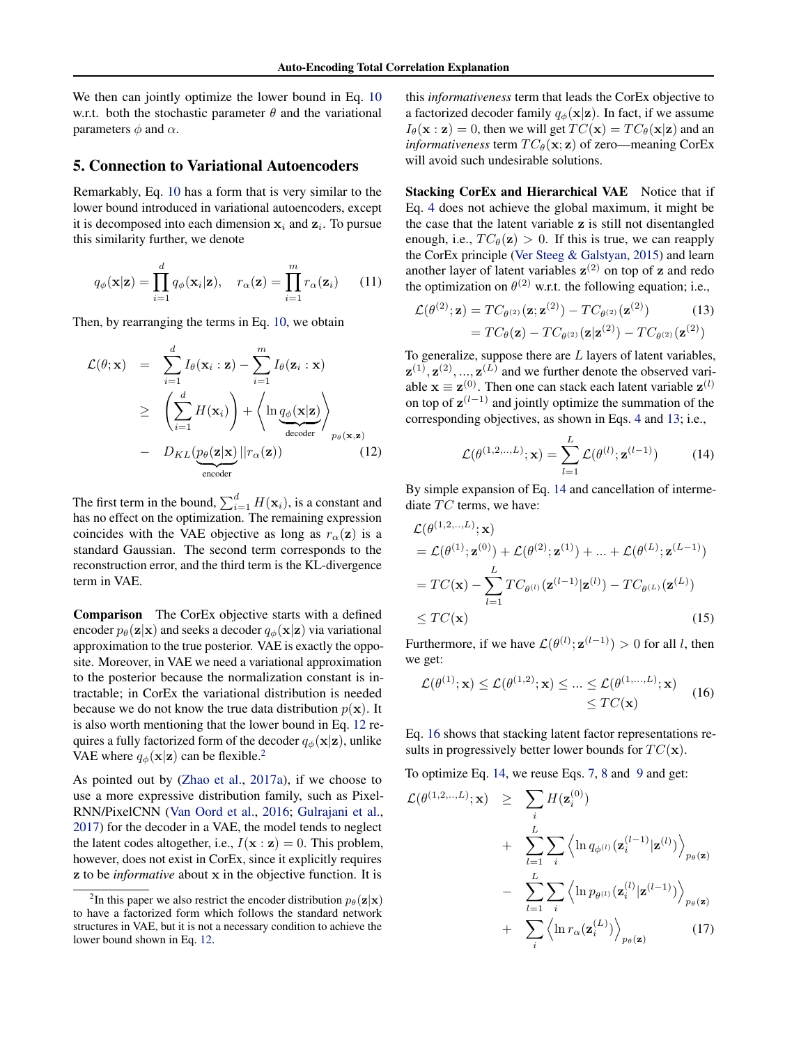<span id="page-3-0"></span>We then can jointly optimize the lower bound in Eq. [10](#page-2-0) w.r.t. both the stochastic parameter  $\theta$  and the variational parameters  $\phi$  and  $\alpha$ .

#### 5. Connection to Variational Autoencoders

Remarkably, Eq. [10](#page-2-0) has a form that is very similar to the lower bound introduced in variational autoencoders, except it is decomposed into each dimension  $x_i$  and  $z_i$ . To pursue this similarity further, we denote

$$
q_{\phi}(\mathbf{x}|\mathbf{z}) = \prod_{i=1}^{d} q_{\phi}(\mathbf{x}_i|\mathbf{z}), \quad r_{\alpha}(\mathbf{z}) = \prod_{i=1}^{m} r_{\alpha}(\mathbf{z}_i) \qquad (11)
$$

Then, by rearranging the terms in Eq. [10,](#page-2-0) we obtain

$$
\mathcal{L}(\theta; \mathbf{x}) = \sum_{i=1}^{d} I_{\theta}(\mathbf{x}_{i} : \mathbf{z}) - \sum_{i=1}^{m} I_{\theta}(\mathbf{z}_{i} : \mathbf{x})
$$
\n
$$
\geq \left( \sum_{i=1}^{d} H(\mathbf{x}_{i}) \right) + \left\langle \ln \underbrace{q_{\phi}(\mathbf{x} | \mathbf{z})}_{\text{decoder}} \right\rangle_{p_{\theta}(\mathbf{x}, \mathbf{z})}
$$
\n
$$
- D_{KL}(\underbrace{p_{\theta}(\mathbf{z} | \mathbf{x})}_{\text{encoder}} || r_{\alpha}(\mathbf{z}))
$$
\n(12)

The first term in the bound,  $\sum_{i=1}^{d} H(\mathbf{x}_i)$ , is a constant and has no effect on the optimization. The remaining expression coincides with the VAE objective as long as  $r_\alpha(z)$  is a standard Gaussian. The second term corresponds to the reconstruction error, and the third term is the KL-divergence term in VAE.

Comparison The CorEx objective starts with a defined encoder  $p_{\theta}(\mathbf{z}|\mathbf{x})$  and seeks a decoder  $q_{\phi}(\mathbf{x}|\mathbf{z})$  via variational approximation to the true posterior. VAE is exactly the opposite. Moreover, in VAE we need a variational approximation to the posterior because the normalization constant is intractable; in CorEx the variational distribution is needed because we do not know the true data distribution  $p(x)$ . It is also worth mentioning that the lower bound in Eq. 12 requires a fully factorized form of the decoder  $q_{\phi}(\mathbf{x}|\mathbf{z})$ , unlike VAE where  $q_{\phi}(\mathbf{x}|\mathbf{z})$  can be flexible.<sup>2</sup>

As pointed out by [\(Zhao et al.,](#page-9-0) [2017a\)](#page-9-0), if we choose to use a more expressive distribution family, such as Pixel-RNN/PixelCNN [\(Van Oord et al.,](#page-9-0) [2016;](#page-9-0) [Gulrajani et al.,](#page-8-0) [2017\)](#page-8-0) for the decoder in a VAE, the model tends to neglect the latent codes altogether, i.e.,  $I(\mathbf{x} : \mathbf{z}) = 0$ . This problem, however, does not exist in CorEx, since it explicitly requires z to be *informative* about x in the objective function. It is

this *informativeness* term that leads the CorEx objective to a factorized decoder family  $q_{\phi}(\mathbf{x}|\mathbf{z})$ . In fact, if we assume  $I_{\theta}(\mathbf{x} : \mathbf{z}) = 0$ , then we will get  $TC(\mathbf{x}) = TC_{\theta}(\mathbf{x} | \mathbf{z})$  and an *informativeness* term  $TC_{\theta}(\mathbf{x}; \mathbf{z})$  of zero—meaning CorEx will avoid such undesirable solutions.

Stacking CorEx and Hierarchical VAE Notice that if Eq. [4](#page-1-0) does not achieve the global maximum, it might be the case that the latent variable z is still not disentangled enough, i.e.,  $TC_{\theta}(\mathbf{z}) > 0$ . If this is true, we can reapply the CorEx principle [\(Ver Steeg & Galstyan,](#page-9-0) [2015\)](#page-9-0) and learn another layer of latent variables  $z^{(2)}$  on top of z and redo the optimization on  $\theta^{(2)}$  w.r.t. the following equation; i.e.,

$$
\mathcal{L}(\theta^{(2)}; \mathbf{z}) = TC_{\theta^{(2)}}(\mathbf{z}; \mathbf{z}^{(2)}) - TC_{\theta^{(2)}}(\mathbf{z}^{(2)}) \qquad (13)
$$

$$
= TC_{\theta}(\mathbf{z}) - TC_{\theta^{(2)}}(\mathbf{z}|\mathbf{z}^{(2)}) - TC_{\theta^{(2)}}(\mathbf{z}^{(2)})
$$

To generalize, suppose there are  $L$  layers of latent variables,  $\mathbf{z}^{(1)}, \mathbf{z}^{(2)}, ..., \mathbf{z}^{(L)}$  and we further denote the observed variable  $\mathbf{x} \equiv \mathbf{z}^{(0)}$ . Then one can stack each latent variable  $\mathbf{z}^{(l)}$ on top of  $z^{(l-1)}$  and jointly optimize the summation of the corresponding objectives, as shown in Eqs. [4](#page-1-0) and 13; i.e.,

$$
\mathcal{L}(\theta^{(1,2,...,L)}; \mathbf{x}) = \sum_{l=1}^{L} \mathcal{L}(\theta^{(l)}; \mathbf{z}^{(l-1)})
$$
(14)

By simple expansion of Eq. 14 and cancellation of intermediate  $TC$  terms, we have:

$$
\mathcal{L}(\theta^{(1,2,\dots,L)}; \mathbf{x})
$$
\n
$$
= \mathcal{L}(\theta^{(1)}; \mathbf{z}^{(0)}) + \mathcal{L}(\theta^{(2)}; \mathbf{z}^{(1)}) + \dots + \mathcal{L}(\theta^{(L)}; \mathbf{z}^{(L-1)})
$$
\n
$$
= TC(\mathbf{x}) - \sum_{l=1}^{L} TC_{\theta^{(l)}}(\mathbf{z}^{(l-1)} | \mathbf{z}^{(l)}) - TC_{\theta^{(L)}}(\mathbf{z}^{(L)})
$$
\n
$$
\le TC(\mathbf{x})
$$
\n(15)

Furthermore, if we have  $\mathcal{L}(\theta^{(l)}; \mathbf{z}^{(l-1)}) > 0$  for all l, then we get:

$$
\mathcal{L}(\theta^{(1)}; \mathbf{x}) \le \mathcal{L}(\theta^{(1,2)}; \mathbf{x}) \le \dots \le \mathcal{L}(\theta^{(1,\dots,L)}; \mathbf{x}) \qquad (16)
$$
  

$$
\le TC(\mathbf{x})
$$

Eq. 16 shows that stacking latent factor representations results in progressively better lower bounds for  $TC(\mathbf{x})$ .

To optimize Eq. 14, we reuse Eqs. [7,](#page-2-0) [8](#page-2-0) and [9](#page-2-0) and get:

$$
\mathcal{L}(\theta^{(1,2,\dots,L)}; \mathbf{x}) \geq \sum_{i} H(\mathbf{z}_{i}^{(0)})
$$
  
+ 
$$
\sum_{l=1}^{L} \sum_{i} \left\langle \ln q_{\phi^{(l)}}(\mathbf{z}_{i}^{(l-1)}|\mathbf{z}^{(l)}) \right\rangle_{p_{\theta}(\mathbf{z})}
$$
  
- 
$$
\sum_{l=1}^{L} \sum_{i} \left\langle \ln p_{\theta^{(l)}}(\mathbf{z}_{i}^{(l)}|\mathbf{z}^{(l-1)}) \right\rangle_{p_{\theta}(\mathbf{z})}
$$
  
+ 
$$
\sum_{i} \left\langle \ln r_{\alpha}(\mathbf{z}_{i}^{(L)}) \right\rangle_{p_{\theta}(\mathbf{z})}
$$
(17)

<sup>&</sup>lt;sup>2</sup>In this paper we also restrict the encoder distribution  $p_\theta(\mathbf{z}|\mathbf{x})$ to have a factorized form which follows the standard network structures in VAE, but it is not a necessary condition to achieve the lower bound shown in Eq. 12.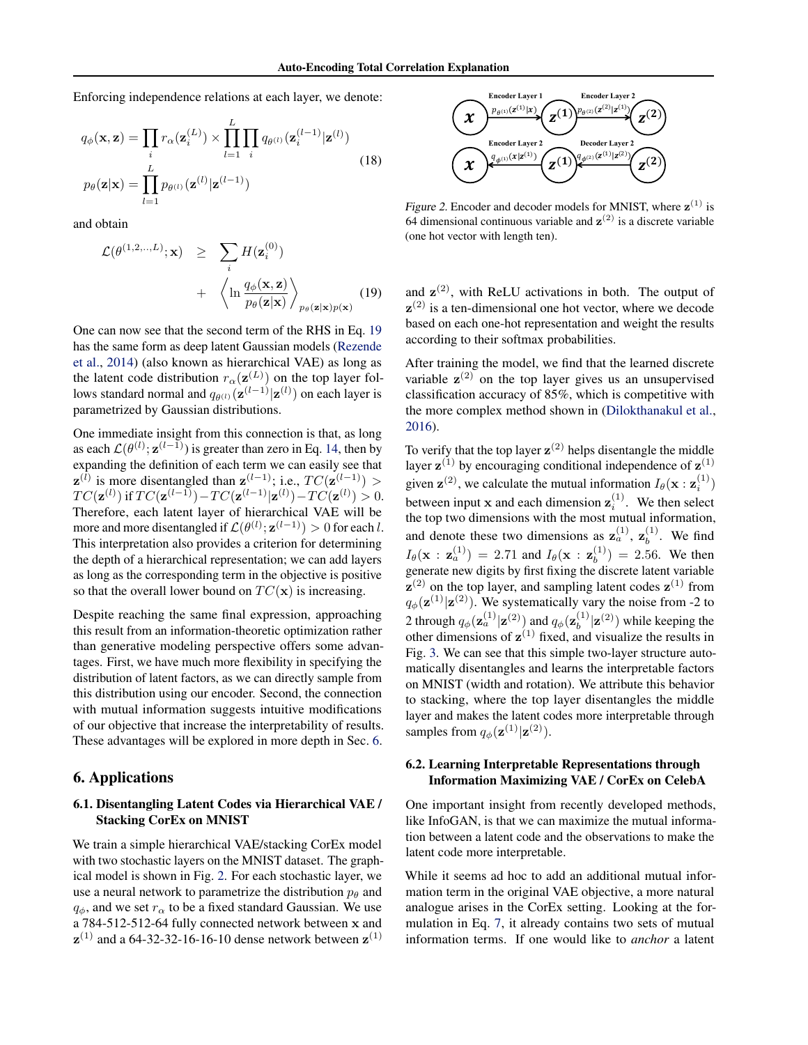<span id="page-4-0"></span>Enforcing independence relations at each layer, we denote:

$$
q_{\phi}(\mathbf{x}, \mathbf{z}) = \prod_{i} r_{\alpha}(\mathbf{z}_{i}^{(L)}) \times \prod_{l=1}^{L} \prod_{i} q_{\theta^{(l)}}(\mathbf{z}_{i}^{(l-1)} | \mathbf{z}^{(l)})
$$
  
\n
$$
p_{\theta}(\mathbf{z} | \mathbf{x}) = \prod_{l=1}^{L} p_{\theta^{(l)}}(\mathbf{z}^{(l)} | \mathbf{z}^{(l-1)})
$$
\n(18)

and obtain

$$
\mathcal{L}(\theta^{(1,2,\dots,L)}; \mathbf{x}) \geq \sum_{i} H(\mathbf{z}_{i}^{(0)}) + \left\langle \ln \frac{q_{\phi}(\mathbf{x}, \mathbf{z})}{p_{\theta}(\mathbf{z}|\mathbf{x})} \right\rangle_{p_{\theta}(\mathbf{z}|\mathbf{x})p(\mathbf{x})}
$$
(19)

One can now see that the second term of the RHS in Eq. 19 has the same form as deep latent Gaussian models [\(Rezende](#page-8-0) [et al.,](#page-8-0) [2014\)](#page-8-0) (also known as hierarchical VAE) as long as the latent code distribution  $r_\alpha(\mathbf{z}^{(L)})$  on the top layer follows standard normal and  $q_{\theta^{(l)}}(\mathbf{z}^{(l-1)}|\mathbf{z}^{(l)})$  on each layer is parametrized by Gaussian distributions.

One immediate insight from this connection is that, as long as each  $\mathcal{L}(\theta^{(l)}; \mathbf{z}^{(l-1)})$  is greater than zero in Eq. [14,](#page-3-0) then by expanding the definition of each term we can easily see that  $z^{(l)}$  is more disentangled than  $z^{(l-1)}$ ; i.e.,  $TC(z^{(l-1)}) >$  $TC(\mathbf{z}^{(l)})$  if  $TC(\mathbf{z}^{(l-1)}) - TC(\mathbf{z}^{(l-1)}|\mathbf{z}^{(l)}) - TC(\mathbf{z}^{(l)}) > 0.$ Therefore, each latent layer of hierarchical VAE will be more and more disentangled if  $\mathcal{L}(\theta^{(l)}; \mathbf{z}^{(l-1)}) > 0$  for each l. This interpretation also provides a criterion for determining the depth of a hierarchical representation; we can add layers as long as the corresponding term in the objective is positive so that the overall lower bound on  $TC(\mathbf{x})$  is increasing.

Despite reaching the same final expression, approaching this result from an information-theoretic optimization rather than generative modeling perspective offers some advantages. First, we have much more flexibility in specifying the distribution of latent factors, as we can directly sample from this distribution using our encoder. Second, the connection with mutual information suggests intuitive modifications of our objective that increase the interpretability of results. These advantages will be explored in more depth in Sec. 6.

#### 6. Applications

#### 6.1. Disentangling Latent Codes via Hierarchical VAE / Stacking CorEx on MNIST

We train a simple hierarchical VAE/stacking CorEx model with two stochastic layers on the MNIST dataset. The graphical model is shown in Fig. 2. For each stochastic layer, we use a neural network to parametrize the distribution  $p_{\theta}$  and  $q_{\phi}$ , and we set  $r_{\alpha}$  to be a fixed standard Gaussian. We use a 784-512-512-64 fully connected network between x and  $z^{(1)}$  and a 64-32-32-16-16-10 dense network between  $z^{(1)}$ 



Figure 2. Encoder and decoder models for MNIST, where  $z^{(1)}$  is 64 dimensional continuous variable and  $z^{(2)}$  is a discrete variable (one hot vector with length ten).

and  $z^{(2)}$ , with ReLU activations in both. The output of  $z^{(2)}$  is a ten-dimensional one hot vector, where we decode based on each one-hot representation and weight the results according to their softmax probabilities.

After training the model, we find that the learned discrete variable  $z^{(2)}$  on the top layer gives us an unsupervised classification accuracy of 85%, which is competitive with the more complex method shown in [\(Dilokthanakul et al.,](#page-8-0) [2016\)](#page-8-0).

To verify that the top layer  $z^{(2)}$  helps disentangle the middle layer  $z^{(1)}$  by encouraging conditional independence of  $z^{(1)}$ given  $\mathbf{z}^{(2)}$ , we calculate the mutual information  $I_{\theta}(\mathbf{x} : \mathbf{z}_i^{(1)})$ between input x and each dimension  $z_i^{(1)}$ . We then select the top two dimensions with the most mutual information, and denote these two dimensions as  $\mathbf{z}_a^{(1)}$ ,  $\mathbf{z}_b^{(1)}$  $b^{(1)}$ . We find  $I_{\theta}(\mathbf{x} : \mathbf{z}_a^{(1)}) = 2.71$  and  $I_{\theta}(\mathbf{x} : \mathbf{z}_b^{(1)})$  $b^{(1)}$  = 2.56. We then generate new digits by first fixing the discrete latent variable  $z^{(2)}$  on the top layer, and sampling latent codes  $z^{(1)}$  from  $q_{\phi}(\mathbf{z}^{(1)}|\mathbf{z}^{(2)})$ . We systematically vary the noise from -2 to 2 through  $q_\phi(\mathbf{z}_a^{(1)} | \mathbf{z}^{(2)})$  and  $q_\phi(\mathbf{z}_b^{(1)})$  $\binom{1}{b}$   $\mathbf{z}^{(2)}$  while keeping the other dimensions of  $z^{(1)}$  fixed, and visualize the results in Fig. [3.](#page-5-0) We can see that this simple two-layer structure automatically disentangles and learns the interpretable factors on MNIST (width and rotation). We attribute this behavior to stacking, where the top layer disentangles the middle layer and makes the latent codes more interpretable through samples from  $q_{\phi}(\mathbf{z}^{(1)}|\mathbf{z}^{(2)})$ .

#### 6.2. Learning Interpretable Representations through Information Maximizing VAE / CorEx on CelebA

One important insight from recently developed methods, like InfoGAN, is that we can maximize the mutual information between a latent code and the observations to make the latent code more interpretable.

While it seems ad hoc to add an additional mutual information term in the original VAE objective, a more natural analogue arises in the CorEx setting. Looking at the formulation in Eq. [7,](#page-2-0) it already contains two sets of mutual information terms. If one would like to *anchor* a latent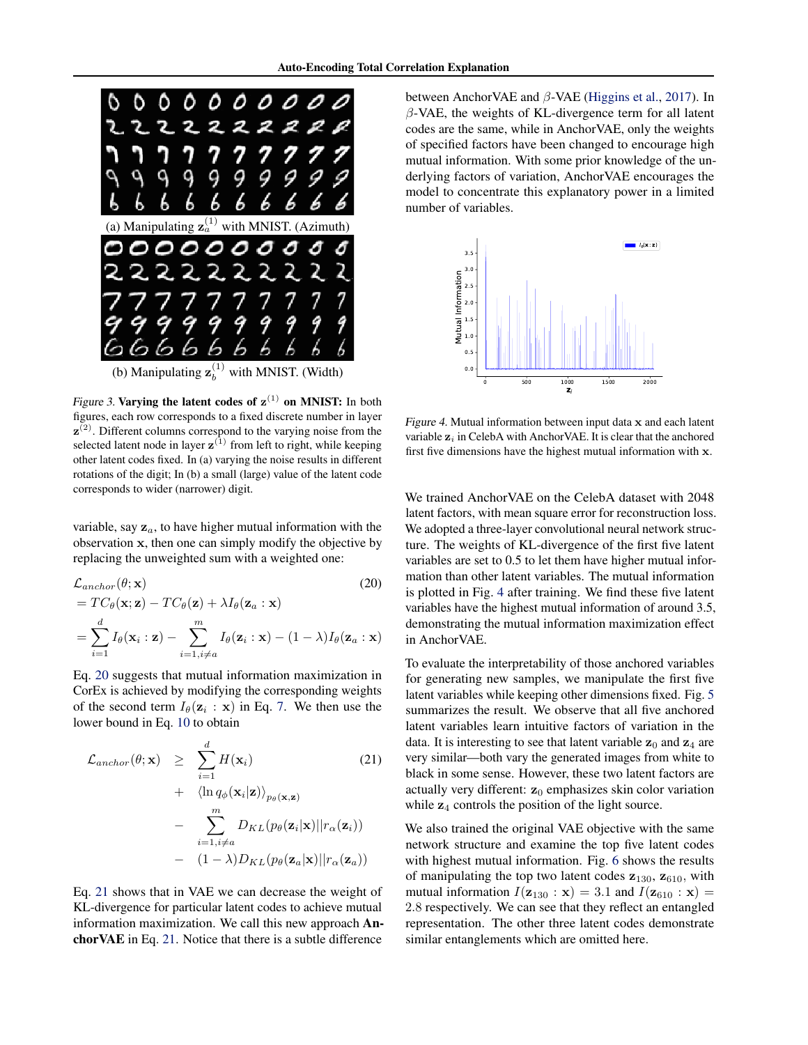<span id="page-5-0"></span>

(b) Manipulating  $\mathbf{z}_{h}^{(1)}$ with MNIST. (Width)

Figure 3. Varying the latent codes of  $z^{(1)}$  on MNIST: In both figures, each row corresponds to a fixed discrete number in layer  $z^{(2)}$ . Different columns correspond to the varying noise from the selected latent node in layer  $z^{(1)}$  from left to right, while keeping other latent codes fixed. In (a) varying the noise results in different rotations of the digit; In (b) a small (large) value of the latent code corresponds to wider (narrower) digit.

variable, say  $z_a$ , to have higher mutual information with the observation x, then one can simply modify the objective by replacing the unweighted sum with a weighted one:

$$
\mathcal{L}_{anchor}(\theta; \mathbf{x})
$$
\n
$$
= TC_{\theta}(\mathbf{x}; \mathbf{z}) - TC_{\theta}(\mathbf{z}) + \lambda I_{\theta}(\mathbf{z}_{a} : \mathbf{x})
$$
\n
$$
= \sum_{i=1}^{d} I_{\theta}(\mathbf{x}_{i} : \mathbf{z}) - \sum_{i=1, i \neq a}^{m} I_{\theta}(\mathbf{z}_{i} : \mathbf{x}) - (1 - \lambda) I_{\theta}(\mathbf{z}_{a} : \mathbf{x})
$$
\n(20)

Eq. 20 suggests that mutual information maximization in CorEx is achieved by modifying the corresponding weights of the second term  $I_{\theta}(\mathbf{z}_i : \mathbf{x})$  in Eq. [7.](#page-2-0) We then use the lower bound in Eq. [10](#page-2-0) to obtain

$$
\mathcal{L}_{anchor}(\theta; \mathbf{x}) \geq \sum_{i=1}^{d} H(\mathbf{x}_i)
$$
(21)  
+  $\langle \ln q_{\phi}(\mathbf{x}_i | \mathbf{z}) \rangle_{p_{\theta}(\mathbf{x}, \mathbf{z})}$   
-  $\sum_{i=1, i \neq a}^{m} D_{KL}(p_{\theta}(\mathbf{z}_i | \mathbf{x}) || r_{\alpha}(\mathbf{z}_i))$   
-  $(1 - \lambda) D_{KL}(p_{\theta}(\mathbf{z}_a | \mathbf{x}) || r_{\alpha}(\mathbf{z}_a))$ 

Eq. 21 shows that in VAE we can decrease the weight of KL-divergence for particular latent codes to achieve mutual information maximization. We call this new approach AnchorVAE in Eq. 21. Notice that there is a subtle difference

between AnchorVAE and  $\beta$ -VAE [\(Higgins et al.,](#page-8-0) [2017\)](#page-8-0). In  $\beta$ -VAE, the weights of KL-divergence term for all latent codes are the same, while in AnchorVAE, only the weights of specified factors have been changed to encourage high mutual information. With some prior knowledge of the underlying factors of variation, AnchorVAE encourages the model to concentrate this explanatory power in a limited number of variables.



Figure 4. Mutual information between input data  $x$  and each latent variable  $z_i$  in CelebA with AnchorVAE. It is clear that the anchored first five dimensions have the highest mutual information with x.

We trained AnchorVAE on the CelebA dataset with 2048 latent factors, with mean square error for reconstruction loss. We adopted a three-layer convolutional neural network structure. The weights of KL-divergence of the first five latent variables are set to 0.5 to let them have higher mutual information than other latent variables. The mutual information is plotted in Fig. 4 after training. We find these five latent variables have the highest mutual information of around 3.5, demonstrating the mutual information maximization effect in AnchorVAE.

To evaluate the interpretability of those anchored variables for generating new samples, we manipulate the first five latent variables while keeping other dimensions fixed. Fig. [5](#page-6-0) summarizes the result. We observe that all five anchored latent variables learn intuitive factors of variation in the data. It is interesting to see that latent variable  $z_0$  and  $z_4$  are very similar—both vary the generated images from white to black in some sense. However, these two latent factors are actually very different:  $z_0$  emphasizes skin color variation while  $z_4$  controls the position of the light source.

We also trained the original VAE objective with the same network structure and examine the top five latent codes with highest mutual information. Fig. [6](#page-6-0) shows the results of manipulating the top two latent codes  $z_{130}$ ,  $z_{610}$ , with mutual information  $I(\mathbf{z}_{130} : \mathbf{x}) = 3.1$  and  $I(\mathbf{z}_{610} : \mathbf{x}) =$ 2.8 respectively. We can see that they reflect an entangled representation. The other three latent codes demonstrate similar entanglements which are omitted here.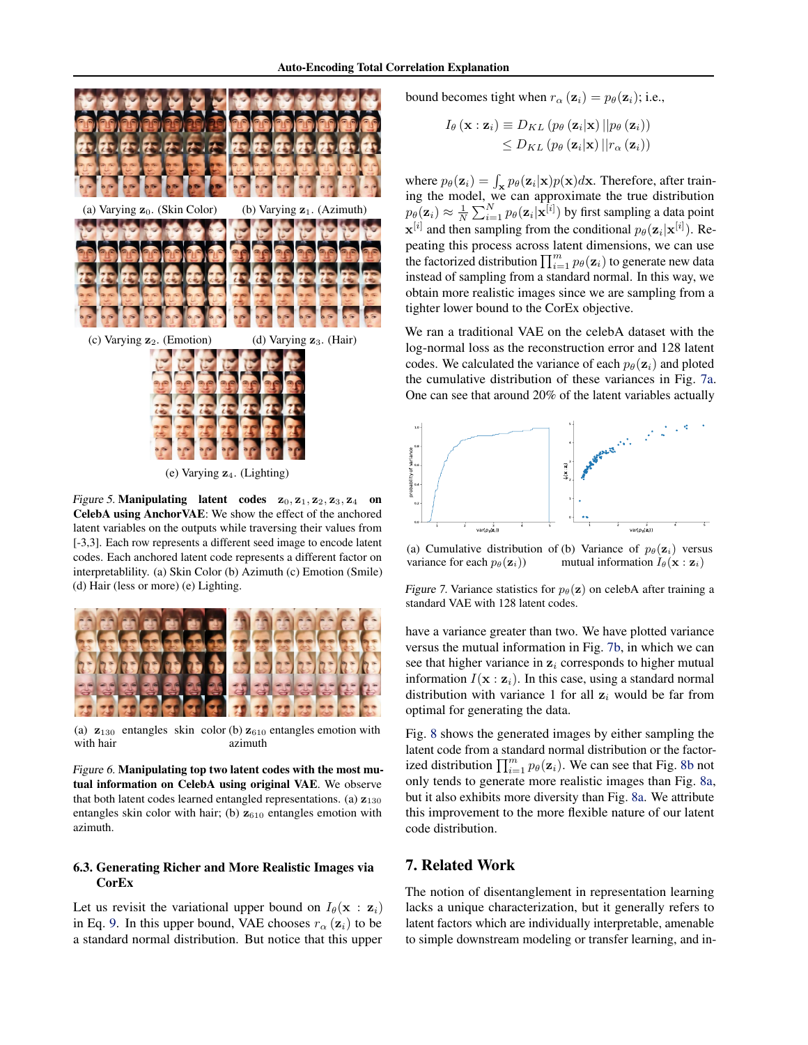<span id="page-6-0"></span>

(e) Varying  $z_4$ . (Lighting)

Figure 5. Manipulating latent codes  $z_0$ ,  $z_1$ ,  $z_2$ ,  $z_3$ ,  $z_4$  on CelebA using AnchorVAE: We show the effect of the anchored latent variables on the outputs while traversing their values from [-3,3]. Each row represents a different seed image to encode latent codes. Each anchored latent code represents a different factor on interpretablility. (a) Skin Color (b) Azimuth (c) Emotion (Smile) (d) Hair (less or more) (e) Lighting.



(a)  $\mathbf{z}_{130}$  entangles skin color (b)  $\mathbf{z}_{610}$  entangles emotion with with hair azimuth

Figure 6. Manipulating top two latent codes with the most mutual information on CelebA using original VAE. We observe that both latent codes learned entangled representations. (a)  $z_{130}$ entangles skin color with hair; (b)  $z_{610}$  entangles emotion with azimuth.

#### 6.3. Generating Richer and More Realistic Images via **CorEx**

Let us revisit the variational upper bound on  $I_{\theta}(\mathbf{x} : \mathbf{z}_i)$ in Eq. [9.](#page-2-0) In this upper bound, VAE chooses  $r_{\alpha}$  ( $\mathbf{z}_i$ ) to be a standard normal distribution. But notice that this upper

bound becomes tight when  $r_{\alpha}(\mathbf{z}_i) = p_{\theta}(\mathbf{z}_i)$ ; i.e.,

$$
I_{\theta}(\mathbf{x} : \mathbf{z}_i) \equiv D_{KL} (p_{\theta} (\mathbf{z}_i | \mathbf{x}) || p_{\theta} (\mathbf{z}_i))
$$
  

$$
\leq D_{KL} (p_{\theta} (\mathbf{z}_i | \mathbf{x}) || r_{\alpha} (\mathbf{z}_i))
$$

where  $p_{\theta}(\mathbf{z}_i) = \int_{\mathbf{x}} p_{\theta}(\mathbf{z}_i | \mathbf{x}) p(\mathbf{x}) d\mathbf{x}$ . Therefore, after training the model, we can approximate the true distribution  $p_{\theta}(\mathbf{z}_i) \approx \frac{1}{N} \sum_{i=1}^{N} p_{\theta}(\mathbf{z}_i | \mathbf{x}^{[i]})$  by first sampling a data point  $\mathbf{x}^{[i]}$  and then sampling from the conditional  $p_{\theta}(\mathbf{z}_i|\mathbf{x}^{[i]})$ . Repeating this process across latent dimensions, we can use the factorized distribution  $\prod_{i=1}^{m} p_{\theta}(\mathbf{z}_i)$  to generate new data instead of sampling from a standard normal. In this way, we obtain more realistic images since we are sampling from a tighter lower bound to the CorEx objective.

We ran a traditional VAE on the celebA dataset with the log-normal loss as the reconstruction error and 128 latent codes. We calculated the variance of each  $p_{\theta}(\mathbf{z}_i)$  and ploted the cumulative distribution of these variances in Fig. 7a. One can see that around 20% of the latent variables actually



(a) Cumulative distribution of (b) Variance of  $p_\theta(\mathbf{z}_i)$  versus variance for each  $p_{\theta}(\mathbf{z}_i)$ ) mutual information  $I_{\theta}(\mathbf{x} : \mathbf{z}_i)$ 

Figure 7. Variance statistics for  $p_\theta(\mathbf{z})$  on celebA after training a standard VAE with 128 latent codes.

have a variance greater than two. We have plotted variance versus the mutual information in Fig. 7b, in which we can see that higher variance in  $z_i$  corresponds to higher mutual information  $I(\mathbf{x} : \mathbf{z}_i)$ . In this case, using a standard normal distribution with variance 1 for all  $z_i$  would be far from optimal for generating the data.

Fig. [8](#page-7-0) shows the generated images by either sampling the latent code from a standard normal distribution or the factorized distribution  $\prod_{i=1}^{m} p_{\theta}(\mathbf{z}_i)$ . We can see that Fig. [8b](#page-7-0) not only tends to generate more realistic images than Fig. [8a,](#page-7-0) but it also exhibits more diversity than Fig. [8a.](#page-7-0) We attribute this improvement to the more flexible nature of our latent code distribution.

# 7. Related Work

The notion of disentanglement in representation learning lacks a unique characterization, but it generally refers to latent factors which are individually interpretable, amenable to simple downstream modeling or transfer learning, and in-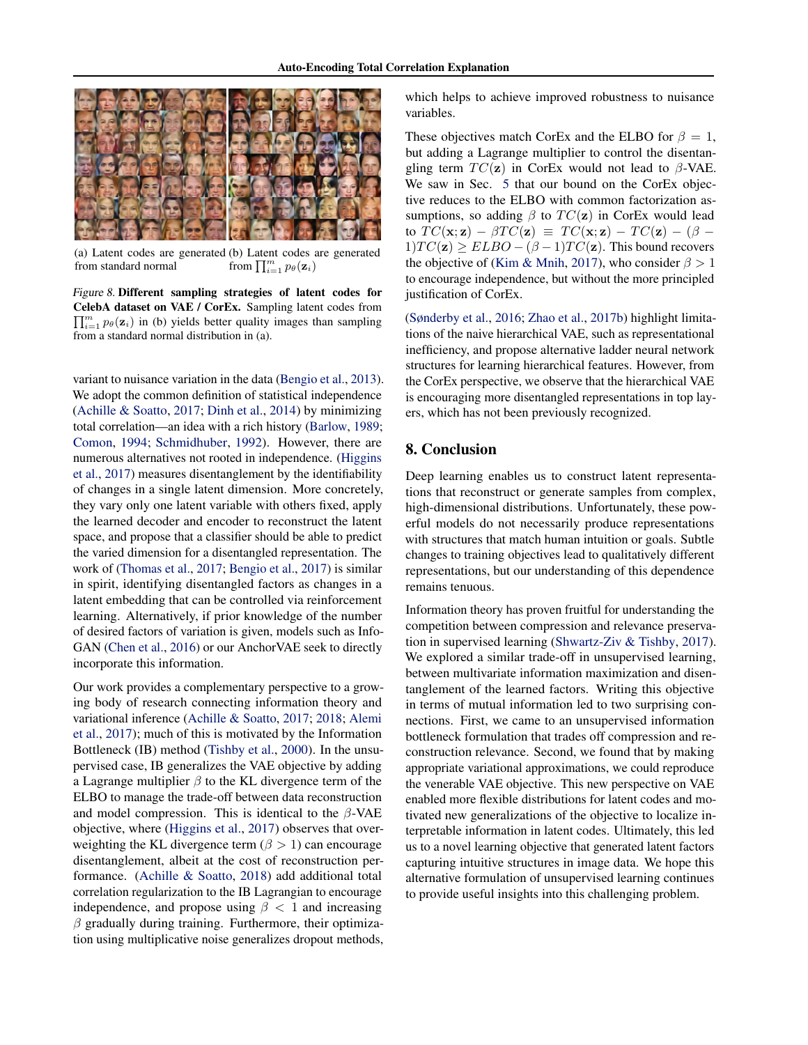<span id="page-7-0"></span>

(a) Latent codes are generated (b) Latent codes are generated from standard normal from  $\prod_{i=1}^m p_\theta(\mathbf{z}_i)$ 

Figure 8. Different sampling strategies of latent codes for CelebA dataset on VAE / CorEx. Sampling latent codes from  $\prod_{i=1}^{m} p_{\theta}(\mathbf{z}_i)$  in (b) yields better quality images than sampling from a standard normal distribution in (a).

variant to nuisance variation in the data [\(Bengio et al.,](#page-8-0) [2013\)](#page-8-0). We adopt the common definition of statistical independence [\(Achille & Soatto,](#page-8-0) [2017;](#page-8-0) [Dinh et al.,](#page-8-0) [2014\)](#page-8-0) by minimizing total correlation—an idea with a rich history [\(Barlow,](#page-8-0) [1989;](#page-8-0) [Comon,](#page-8-0) [1994;](#page-8-0) [Schmidhuber,](#page-8-0) [1992\)](#page-8-0). However, there are numerous alternatives not rooted in independence. [\(Higgins](#page-8-0) [et al.,](#page-8-0) [2017\)](#page-8-0) measures disentanglement by the identifiability of changes in a single latent dimension. More concretely, they vary only one latent variable with others fixed, apply the learned decoder and encoder to reconstruct the latent space, and propose that a classifier should be able to predict the varied dimension for a disentangled representation. The work of [\(Thomas et al.,](#page-8-0) [2017;](#page-8-0) [Bengio et al.,](#page-8-0) [2017\)](#page-8-0) is similar in spirit, identifying disentangled factors as changes in a latent embedding that can be controlled via reinforcement learning. Alternatively, if prior knowledge of the number of desired factors of variation is given, models such as Info-GAN [\(Chen et al.,](#page-8-0) [2016\)](#page-8-0) or our AnchorVAE seek to directly incorporate this information.

Our work provides a complementary perspective to a growing body of research connecting information theory and variational inference [\(Achille & Soatto,](#page-8-0) [2017;](#page-8-0) [2018;](#page-8-0) [Alemi](#page-8-0) [et al.,](#page-8-0) [2017\)](#page-8-0); much of this is motivated by the Information Bottleneck (IB) method [\(Tishby et al.,](#page-9-0) [2000\)](#page-9-0). In the unsupervised case, IB generalizes the VAE objective by adding a Lagrange multiplier  $\beta$  to the KL divergence term of the ELBO to manage the trade-off between data reconstruction and model compression. This is identical to the  $\beta$ -VAE objective, where [\(Higgins et al.,](#page-8-0) [2017\)](#page-8-0) observes that overweighting the KL divergence term ( $\beta > 1$ ) can encourage disentanglement, albeit at the cost of reconstruction performance. [\(Achille & Soatto,](#page-8-0) [2018\)](#page-8-0) add additional total correlation regularization to the IB Lagrangian to encourage independence, and propose using  $\beta$  < 1 and increasing  $\beta$  gradually during training. Furthermore, their optimization using multiplicative noise generalizes dropout methods, which helps to achieve improved robustness to nuisance variables.

These objectives match CorEx and the ELBO for  $\beta = 1$ , but adding a Lagrange multiplier to control the disentangling term  $TC(\mathbf{z})$  in CorEx would not lead to  $\beta$ -VAE. We saw in Sec. [5](#page-3-0) that our bound on the CorEx objective reduces to the ELBO with common factorization assumptions, so adding  $\beta$  to  $TC(\mathbf{z})$  in CorEx would lead to  $TC(\mathbf{x}; \mathbf{z}) - \beta TC(\mathbf{z}) \equiv TC(\mathbf{x}; \mathbf{z}) - TC(\mathbf{z}) - (\beta - \beta)$  $1)TC(z) \ge ELBO - (\beta - 1)TC(z)$ . This bound recovers the objective of [\(Kim & Mnih,](#page-8-0) [2017\)](#page-8-0), who consider  $\beta > 1$ to encourage independence, but without the more principled justification of CorEx.

[\(Sønderby et al.,](#page-8-0) [2016;](#page-8-0) [Zhao et al.,](#page-9-0) [2017b\)](#page-9-0) highlight limitations of the naive hierarchical VAE, such as representational inefficiency, and propose alternative ladder neural network structures for learning hierarchical features. However, from the CorEx perspective, we observe that the hierarchical VAE is encouraging more disentangled representations in top layers, which has not been previously recognized.

## 8. Conclusion

Deep learning enables us to construct latent representations that reconstruct or generate samples from complex, high-dimensional distributions. Unfortunately, these powerful models do not necessarily produce representations with structures that match human intuition or goals. Subtle changes to training objectives lead to qualitatively different representations, but our understanding of this dependence remains tenuous.

Information theory has proven fruitful for understanding the competition between compression and relevance preservation in supervised learning [\(Shwartz-Ziv & Tishby,](#page-8-0) [2017\)](#page-8-0). We explored a similar trade-off in unsupervised learning, between multivariate information maximization and disentanglement of the learned factors. Writing this objective in terms of mutual information led to two surprising connections. First, we came to an unsupervised information bottleneck formulation that trades off compression and reconstruction relevance. Second, we found that by making appropriate variational approximations, we could reproduce the venerable VAE objective. This new perspective on VAE enabled more flexible distributions for latent codes and motivated new generalizations of the objective to localize interpretable information in latent codes. Ultimately, this led us to a novel learning objective that generated latent factors capturing intuitive structures in image data. We hope this alternative formulation of unsupervised learning continues to provide useful insights into this challenging problem.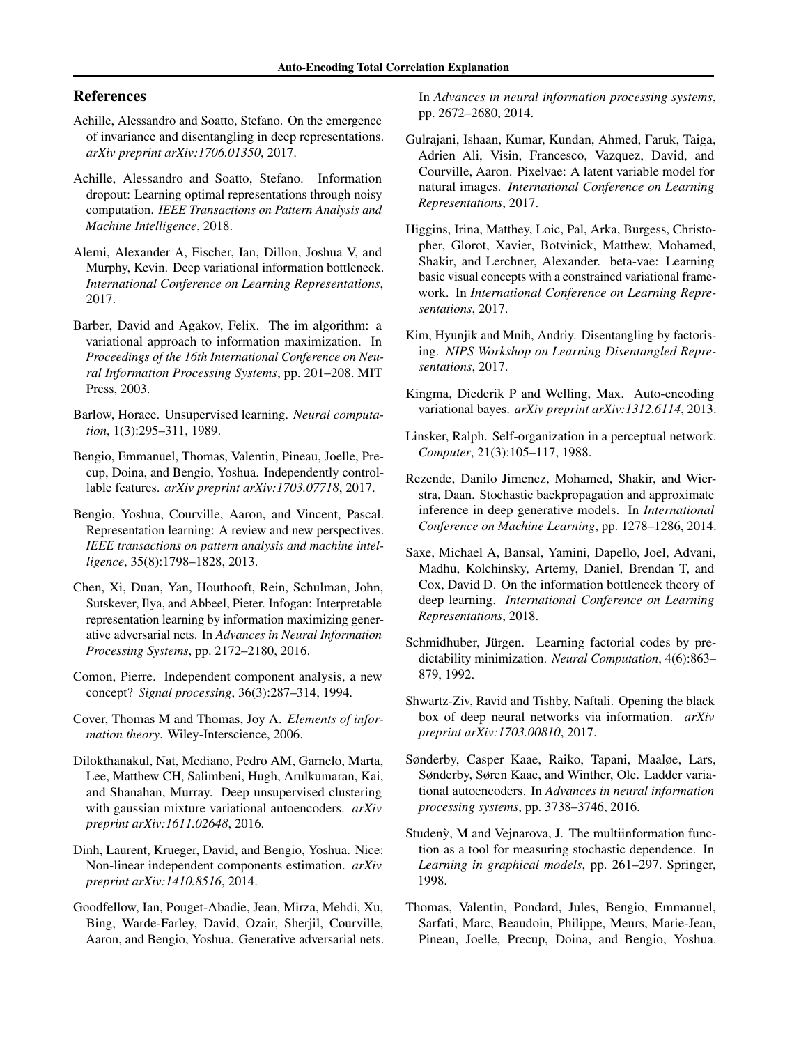## <span id="page-8-0"></span>References

- Achille, Alessandro and Soatto, Stefano. On the emergence of invariance and disentangling in deep representations. *arXiv preprint arXiv:1706.01350*, 2017.
- Achille, Alessandro and Soatto, Stefano. Information dropout: Learning optimal representations through noisy computation. *IEEE Transactions on Pattern Analysis and Machine Intelligence*, 2018.
- Alemi, Alexander A, Fischer, Ian, Dillon, Joshua V, and Murphy, Kevin. Deep variational information bottleneck. *International Conference on Learning Representations*, 2017.
- Barber, David and Agakov, Felix. The im algorithm: a variational approach to information maximization. In *Proceedings of the 16th International Conference on Neural Information Processing Systems*, pp. 201–208. MIT Press, 2003.
- Barlow, Horace. Unsupervised learning. *Neural computation*, 1(3):295–311, 1989.
- Bengio, Emmanuel, Thomas, Valentin, Pineau, Joelle, Precup, Doina, and Bengio, Yoshua. Independently controllable features. *arXiv preprint arXiv:1703.07718*, 2017.
- Bengio, Yoshua, Courville, Aaron, and Vincent, Pascal. Representation learning: A review and new perspectives. *IEEE transactions on pattern analysis and machine intelligence*, 35(8):1798–1828, 2013.
- Chen, Xi, Duan, Yan, Houthooft, Rein, Schulman, John, Sutskever, Ilya, and Abbeel, Pieter. Infogan: Interpretable representation learning by information maximizing generative adversarial nets. In *Advances in Neural Information Processing Systems*, pp. 2172–2180, 2016.
- Comon, Pierre. Independent component analysis, a new concept? *Signal processing*, 36(3):287–314, 1994.
- Cover, Thomas M and Thomas, Joy A. *Elements of information theory*. Wiley-Interscience, 2006.
- Dilokthanakul, Nat, Mediano, Pedro AM, Garnelo, Marta, Lee, Matthew CH, Salimbeni, Hugh, Arulkumaran, Kai, and Shanahan, Murray. Deep unsupervised clustering with gaussian mixture variational autoencoders. *arXiv preprint arXiv:1611.02648*, 2016.
- Dinh, Laurent, Krueger, David, and Bengio, Yoshua. Nice: Non-linear independent components estimation. *arXiv preprint arXiv:1410.8516*, 2014.
- Goodfellow, Ian, Pouget-Abadie, Jean, Mirza, Mehdi, Xu, Bing, Warde-Farley, David, Ozair, Sherjil, Courville, Aaron, and Bengio, Yoshua. Generative adversarial nets.

In *Advances in neural information processing systems*, pp. 2672–2680, 2014.

- Gulrajani, Ishaan, Kumar, Kundan, Ahmed, Faruk, Taiga, Adrien Ali, Visin, Francesco, Vazquez, David, and Courville, Aaron. Pixelvae: A latent variable model for natural images. *International Conference on Learning Representations*, 2017.
- Higgins, Irina, Matthey, Loic, Pal, Arka, Burgess, Christopher, Glorot, Xavier, Botvinick, Matthew, Mohamed, Shakir, and Lerchner, Alexander. beta-vae: Learning basic visual concepts with a constrained variational framework. In *International Conference on Learning Representations*, 2017.
- Kim, Hyunjik and Mnih, Andriy. Disentangling by factorising. *NIPS Workshop on Learning Disentangled Representations*, 2017.
- Kingma, Diederik P and Welling, Max. Auto-encoding variational bayes. *arXiv preprint arXiv:1312.6114*, 2013.
- Linsker, Ralph. Self-organization in a perceptual network. *Computer*, 21(3):105–117, 1988.
- Rezende, Danilo Jimenez, Mohamed, Shakir, and Wierstra, Daan. Stochastic backpropagation and approximate inference in deep generative models. In *International Conference on Machine Learning*, pp. 1278–1286, 2014.
- Saxe, Michael A, Bansal, Yamini, Dapello, Joel, Advani, Madhu, Kolchinsky, Artemy, Daniel, Brendan T, and Cox, David D. On the information bottleneck theory of deep learning. *International Conference on Learning Representations*, 2018.
- Schmidhuber, Jürgen. Learning factorial codes by predictability minimization. *Neural Computation*, 4(6):863– 879, 1992.
- Shwartz-Ziv, Ravid and Tishby, Naftali. Opening the black box of deep neural networks via information. *arXiv preprint arXiv:1703.00810*, 2017.
- Sønderby, Casper Kaae, Raiko, Tapani, Maaløe, Lars, Sønderby, Søren Kaae, and Winther, Ole. Ladder variational autoencoders. In *Advances in neural information processing systems*, pp. 3738–3746, 2016.
- Studenỳ, M and Vejnarova, J. The multiinformation function as a tool for measuring stochastic dependence. In *Learning in graphical models*, pp. 261–297. Springer, 1998.
- Thomas, Valentin, Pondard, Jules, Bengio, Emmanuel, Sarfati, Marc, Beaudoin, Philippe, Meurs, Marie-Jean, Pineau, Joelle, Precup, Doina, and Bengio, Yoshua.